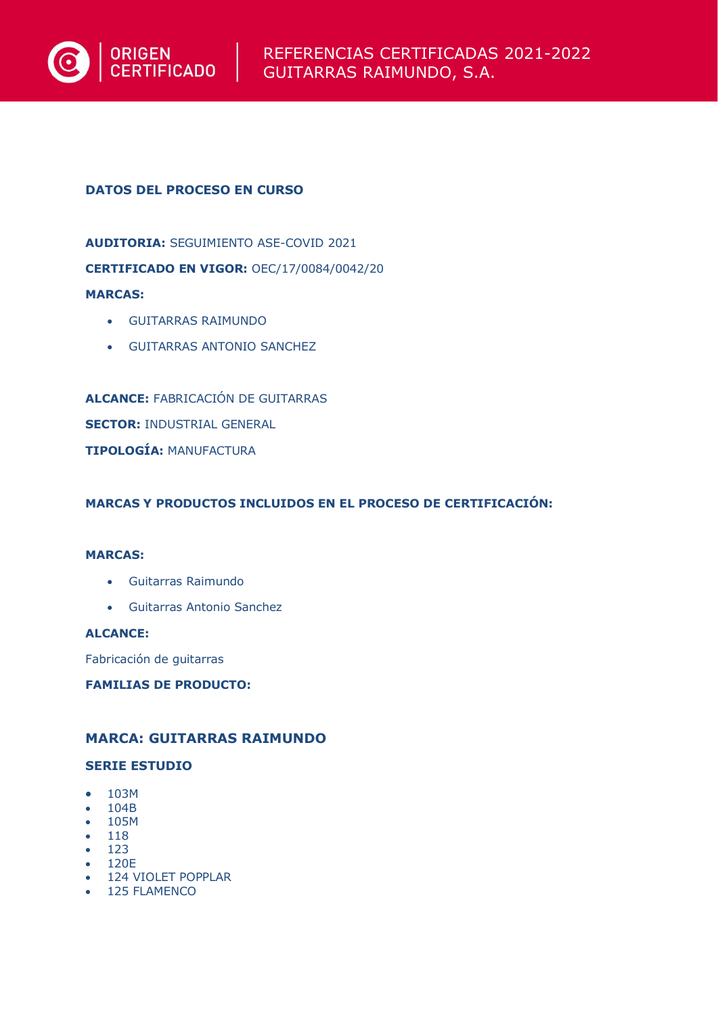

# **DATOS DEL PROCESO EN CURSO**

**AUDITORIA:** SEGUIMIENTO ASE-COVID 2021 **CERTIFICADO EN VIGOR:** OEC/17/0084/0042/20 **MARCAS:** 

- GUITARRAS RAIMUNDO
- GUITARRAS ANTONIO SANCHEZ

**ALCANCE:** FABRICACIÓN DE GUITARRAS **SECTOR:** INDUSTRIAL GENERAL **TIPOLOGÍA:** MANUFACTURA

**MARCAS Y PRODUCTOS INCLUIDOS EN EL PROCESO DE CERTIFICACIÓN:** 

# **MARCAS:**

- Guitarras Raimundo
- Guitarras Antonio Sanchez

**ALCANCE:** 

Fabricación de guitarras

**FAMILIAS DE PRODUCTO:** 

# **MARCA: GUITARRAS RAIMUNDO**

# **SERIE ESTUDIO**

- 103M
- 104B
- 105M
- 118
- 123 • 120E
- 124 VIOLET POPPLAR
- 125 FLAMENCO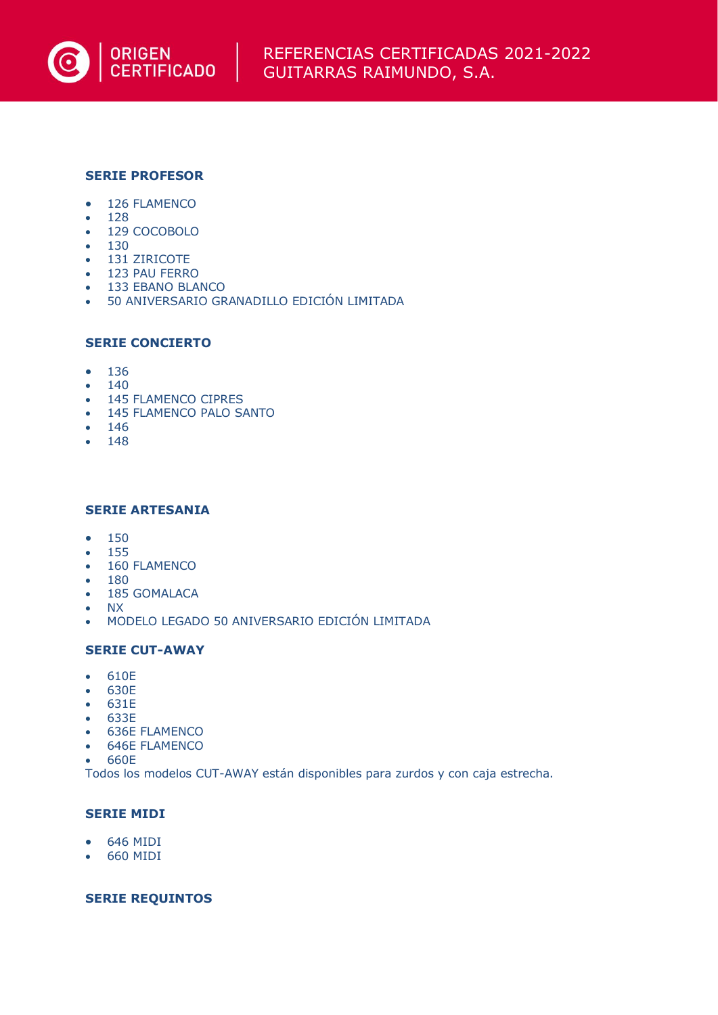

# **SERIE PROFESOR**

- 126 FLAMENCO
- 128
- 129 COCOBOLO
- 130
- 131 ZIRICOTE
- 123 PAU FERRO
- 133 EBANO BLANCO
- 50 ANIVERSARIO GRANADILLO EDICIÓN LIMITADA

# **SERIE CONCIERTO**

- 136
- 140
- 145 FLAMENCO CIPRES
- 145 FLAMENCO PALO SANTO
- 146
- 148

# **SERIE ARTESANIA**

- 150
- 155
- 160 FLAMENCO
- 180
- 185 GOMALACA
- NX
- MODELO LEGADO 50 ANIVERSARIO EDICIÓN LIMITADA

# **SERIE CUT-AWAY**

- 610E
- 630E
- 631E
- 633E
- 636E FLAMENCO
- 646E FLAMENCO
- 660E

Todos los modelos CUT-AWAY están disponibles para zurdos y con caja estrecha.

# **SERIE MIDI**

- 646 MIDI
- 660 MIDI

# **SERIE REQUINTOS**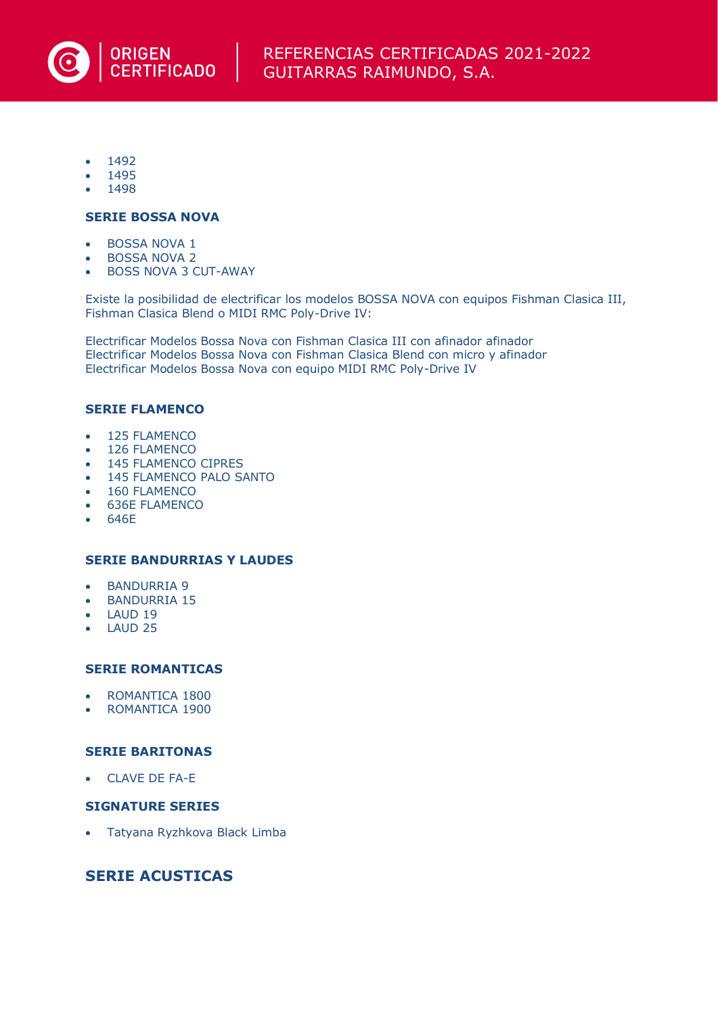

- 1492
- 1495
- 1498

#### **SERIE BOSSA NOVA**

- BOSSA NOVA 1
- BOSSA NOVA 2
- BOSS NOVA 3 CUT-AWAY

Existe la posibilidad de electrificar los modelos BOSSA NOVA con equipos Fishman Clasica III, Fishman Clasica Blend o MIDI RMC Poly-Drive IV:

Electrificar Modelos Bossa Nova con Fishman Clasica III con afinador afinador Electrificar Modelos Bossa Nova con Fishman Clasica Blend con micro y afinador Electrificar Modelos Bossa Nova con equipo MIDI RMC Poly-Drive IV

#### **SERIE FLAMENCO**

- 125 FLAMENCO
- 126 FLAMENCO
- 145 FLAMENCO CIPRES
- 145 FLAMENCO PALO SANTO
- 160 FLAMENCO
- 636E FLAMENCO
- 646E

# **SERIE BANDURRIAS Y LAUDES**

- BANDURRIA 9
- BANDURRIA 15
- LAUD 19
- LAUD 25

#### **SERIE ROMANTICAS**

- ROMANTICA 1800
- ROMANTICA 1900

#### **SERIE BARITONAS**

• CLAVE DE FA-E

# **SIGNATURE SERIES**

• Tatyana Ryzhkova Black Limba

# **SERIE ACUSTICAS**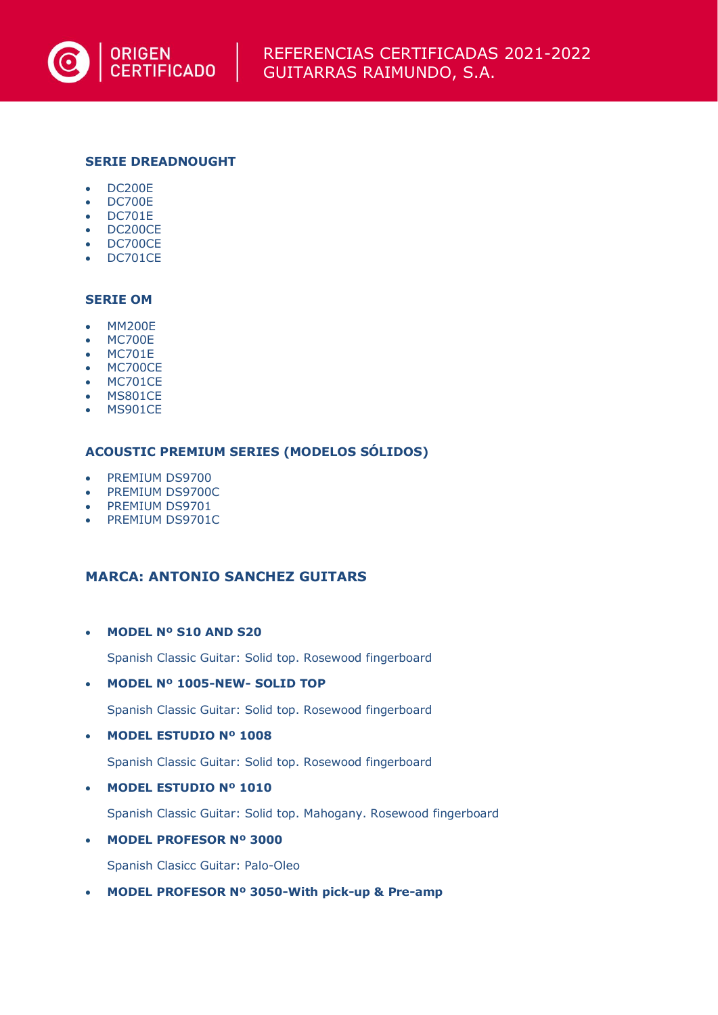

# **SERIE DREADNOUGHT**

- DC200E
- DC700E
- DC701E
- DC200CE • DC700CE
- 
- DC701CE

# **SERIE OM**

- MM200E
- MC700E
- MC701E
- MC700CE
- MC701CE
- MS801CE
- MS901CE

#### **ACOUSTIC PREMIUM SERIES (MODELOS SÓLIDOS)**

- PREMIUM DS9700
- PREMIUM DS9700C
- PREMIUM DS9701
- PREMIUM DS9701C

# **MARCA: ANTONIO SANCHEZ GUITARS**

# • **MODEL Nº S10 AND S20**

Spanish Classic Guitar: Solid top. Rosewood fingerboard

#### • **MODEL Nº 1005-NEW- SOLID TOP**

Spanish Classic Guitar: Solid top. Rosewood fingerboard

• **MODEL ESTUDIO Nº 1008**

Spanish Classic Guitar: Solid top. Rosewood fingerboard

• **MODEL ESTUDIO Nº 1010**

Spanish Classic Guitar: Solid top. Mahogany. Rosewood fingerboard

• **MODEL PROFESOR Nº 3000**

Spanish Clasicc Guitar: Palo-Oleo

• **MODEL PROFESOR Nº 3050-With pick-up & Pre-amp**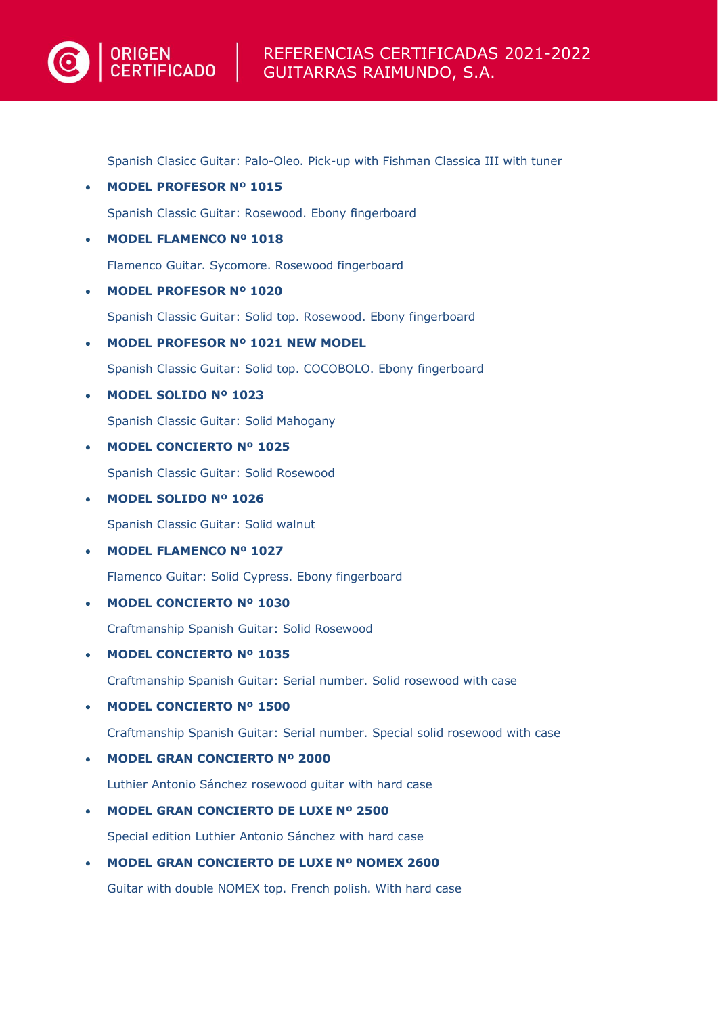# REFERENCIAS CERTIFICADAS 2021-2022 GUITARRAS RAIMUNDO, S.A.

Spanish Clasicc Guitar: Palo-Oleo. Pick-up with Fishman Classica III with tuner

- **MODEL PROFESOR Nº 1015** Spanish Classic Guitar: Rosewood. Ebony fingerboard
- **MODEL FLAMENCO Nº 1018**

**ORIGEN CERTIFICADO** 

Flamenco Guitar. Sycomore. Rosewood fingerboard

• **MODEL PROFESOR Nº 1020**

Spanish Classic Guitar: Solid top. Rosewood. Ebony fingerboard

• **MODEL PROFESOR Nº 1021 NEW MODEL**

Spanish Classic Guitar: Solid top. COCOBOLO. Ebony fingerboard

• **MODEL SOLIDO Nº 1023**

Spanish Classic Guitar: Solid Mahogany

• **MODEL CONCIERTO Nº 1025**

Spanish Classic Guitar: Solid Rosewood

• **MODEL SOLIDO Nº 1026**

Spanish Classic Guitar: Solid walnut

• **MODEL FLAMENCO Nº 1027**

Flamenco Guitar: Solid Cypress. Ebony fingerboard

• **MODEL CONCIERTO Nº 1030**

Craftmanship Spanish Guitar: Solid Rosewood

• **MODEL CONCIERTO Nº 1035**

Craftmanship Spanish Guitar: Serial number. Solid rosewood with case

• **MODEL CONCIERTO Nº 1500**

Craftmanship Spanish Guitar: Serial number. Special solid rosewood with case

• **MODEL GRAN CONCIERTO Nº 2000**

Luthier Antonio Sánchez rosewood guitar with hard case

• **MODEL GRAN CONCIERTO DE LUXE Nº 2500**

Special edition Luthier Antonio Sánchez with hard case

• **MODEL GRAN CONCIERTO DE LUXE Nº NOMEX 2600**

Guitar with double NOMEX top. French polish. With hard case